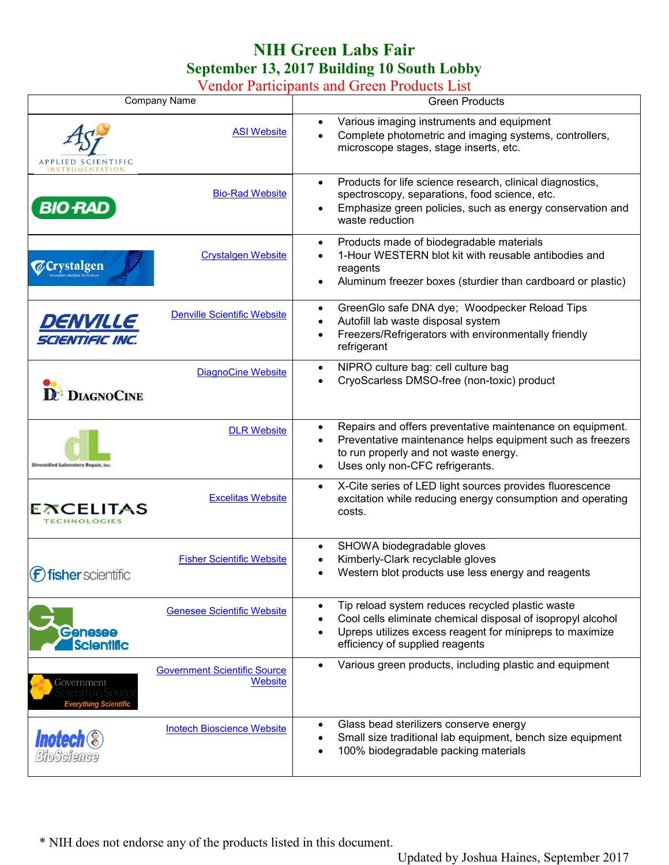## **NIH Green Labs Fair September 13, 2017 Building 10 South Lobby**

Vendor Participants and Green Products List

| Company Name                                                                                 | <b>Green Products</b>                                                                                                                                                                                                                                 |
|----------------------------------------------------------------------------------------------|-------------------------------------------------------------------------------------------------------------------------------------------------------------------------------------------------------------------------------------------------------|
| <b>ASI Website</b>                                                                           | Various imaging instruments and equipment<br>$\bullet$<br>Complete photometric and imaging systems, controllers,<br>$\bullet$<br>microscope stages, stage inserts, etc.                                                                               |
| <b>Bio-Rad Website</b><br><b>BIO RAD</b>                                                     | Products for life science research, clinical diagnostics,<br>$\bullet$<br>spectroscopy, separations, food science, etc.<br>Emphasize green policies, such as energy conservation and<br>$\bullet$<br>waste reduction                                  |
| <b>Crystalgen Website</b><br><b><i>C</i></b> Crystalgen                                      | Products made of biodegradable materials<br>$\bullet$<br>1-Hour WESTERN blot kit with reusable antibodies and<br>reagents<br>Aluminum freezer boxes (sturdier than cardboard or plastic)<br>$\bullet$                                                 |
| <b>Denville Scientific Website</b><br>DENVILLE<br>SCIENTIFIC INC.                            | GreenGlo safe DNA dye; Woodpecker Reload Tips<br>$\bullet$<br>Autofill lab waste disposal system<br>Freezers/Refrigerators with environmentally friendly<br>refrigerant                                                                               |
| <b>DiagnoCine Website</b><br><b>DE: DIAGNOCINE</b>                                           | NIPRO culture bag: cell culture bag<br>$\bullet$<br>CryoScarless DMSO-free (non-toxic) product                                                                                                                                                        |
| <b>DLR Website</b>                                                                           | Repairs and offers preventative maintenance on equipment.<br>$\bullet$<br>Preventative maintenance helps equipment such as freezers<br>$\bullet$<br>to run properly and not waste energy.<br>Uses only non-CFC refrigerants.<br>$\bullet$             |
| <b>Excelitas Website</b><br><b>EXCELITAS</b><br><b>TECHNOLOGIES</b>                          | X-Cite series of LED light sources provides fluorescence<br>$\bullet$<br>excitation while reducing energy consumption and operating<br>costs.                                                                                                         |
| <b>Fisher Scientific Website</b><br><b>f</b> ) fisher scientific                             | SHOWA biodegradable gloves<br>$\bullet$<br>Kimberly-Clark recyclable gloves<br>$\bullet$<br>Western blot products use less energy and reagents<br>$\bullet$                                                                                           |
| <b>Genesee Scientific Website</b><br>Genesee<br><b>Scientific</b>                            | Tip reload system reduces recycled plastic waste<br>$\bullet$<br>Cool cells eliminate chemical disposal of isopropyl alcohol<br>$\bullet$<br>Upreps utilizes excess reagent for minipreps to maximize<br>$\bullet$<br>efficiency of supplied reagents |
| <b>Government Scientific Source</b><br>Website<br>Government<br><b>Everything Scientific</b> | Various green products, including plastic and equipment                                                                                                                                                                                               |
| <b>Inotech Bioscience Website</b><br><i><b>Inotech (</b>§)</i><br>BioScience                 | Glass bead sterilizers conserve energy<br>٠<br>Small size traditional lab equipment, bench size equipment<br>100% biodegradable packing materials                                                                                                     |

\* NIH does not endorse any of the products listed in this document.